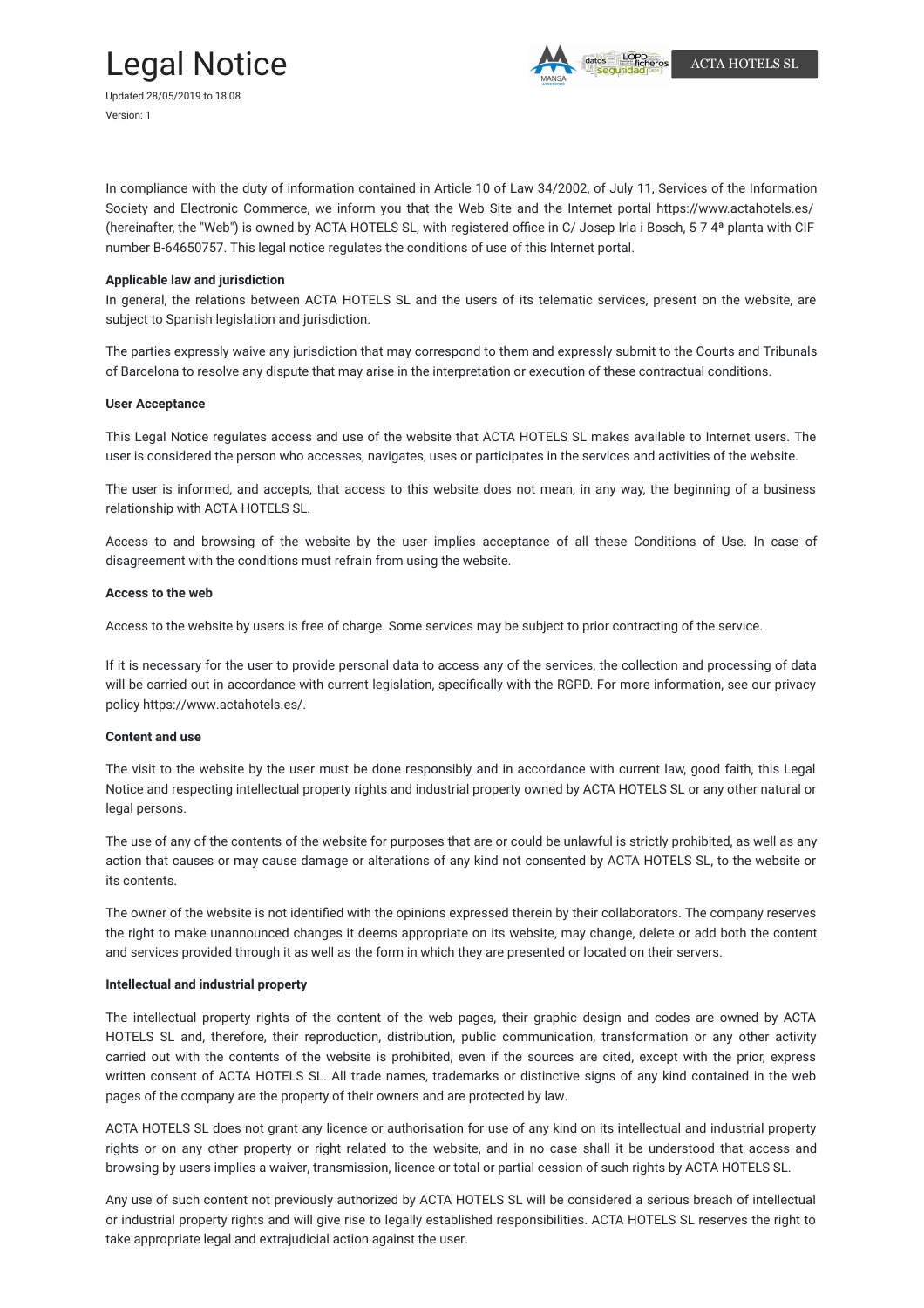# Legal Notice



In compliance with the duty of information contained in Article 10 of Law 34/2002, of July 11, Services of the Information Society and Electronic Commerce, we inform you that the Web Site and the Internet portal https://www.actahotels.es/ (hereinafter, the "Web") is owned by ACTA HOTELS SL, with registered office in C/ Josep Irla i Bosch, 5-7 4ª planta with CIF number B-64650757. This legal notice regulates the conditions of use of this Internet portal.

# **Applicable law and jurisdiction**

In general, the relations between ACTA HOTELS SL and the users of its telematic services, present on the website, are subject to Spanish legislation and jurisdiction.

The parties expressly waive any jurisdiction that may correspond to them and expressly submit to the Courts and Tribunals of Barcelona to resolve any dispute that may arise in the interpretation or execution of these contractual conditions.

#### **User Acceptance**

This Legal Notice regulates access and use of the website that ACTA HOTELS SL makes available to Internet users. The user is considered the person who accesses, navigates, uses or participates in the services and activities of the website.

The user is informed, and accepts, that access to this website does not mean, in any way, the beginning of a business relationship with ACTA HOTELS SL.

Access to and browsing of the website by the user implies acceptance of all these Conditions of Use. In case of disagreement with the conditions must refrain from using the website.

## **Access to the web**

Access to the website by users is free of charge. Some services may be subject to prior contracting of the service.

If it is necessary for the user to provide personal data to access any of the services, the collection and processing of data will be carried out in accordance with current legislation, specifically with the RGPD. For more information, see our privacy policy https://www.actahotels.es/.

#### **Content and use**

The visit to the website by the user must be done responsibly and in accordance with current law, good faith, this Legal Notice and respecting intellectual property rights and industrial property owned by ACTA HOTELS SL or any other natural or legal persons.

The use of any of the contents of the website for purposes that are or could be unlawful is strictly prohibited, as well as any action that causes or may cause damage or alterations of any kind not consented by ACTA HOTELS SL, to the website or its contents.

The owner of the website is not identified with the opinions expressed therein by their collaborators. The company reserves the right to make unannounced changes it deems appropriate on its website, may change, delete or add both the content and services provided through it as well as the form in which they are presented or located on their servers.

## **Intellectual and industrial property**

The intellectual property rights of the content of the web pages, their graphic design and codes are owned by ACTA HOTELS SL and, therefore, their reproduction, distribution, public communication, transformation or any other activity carried out with the contents of the website is prohibited, even if the sources are cited, except with the prior, express written consent of ACTA HOTELS SL. All trade names, trademarks or distinctive signs of any kind contained in the web pages of the company are the property of their owners and are protected by law.

ACTA HOTELS SL does not grant any licence or authorisation for use of any kind on its intellectual and industrial property rights or on any other property or right related to the website, and in no case shall it be understood that access and browsing by users implies a waiver, transmission, licence or total or partial cession of such rights by ACTA HOTELS SL.

Any use of such content not previously authorized by ACTA HOTELS SL will be considered a serious breach of intellectual or industrial property rights and will give rise to legally established responsibilities. ACTA HOTELS SL reserves the right to take appropriate legal and extrajudicial action against the user.